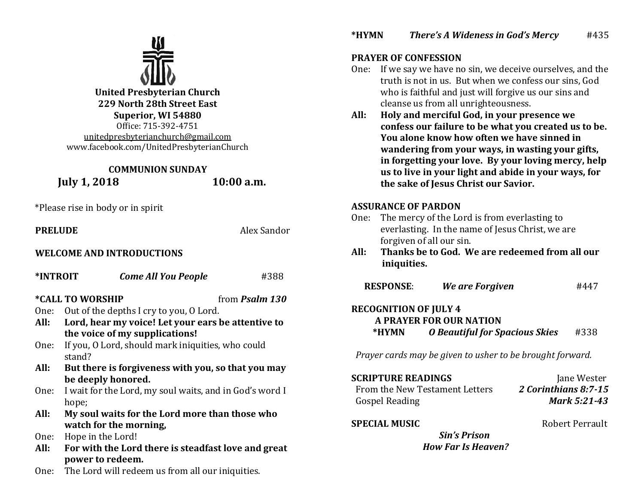

**United Presbyterian Church 229 North 28th Street East Superior, WI 54880** Office: 715-392-4751 [unitedpresbyterianchurch@gmail.com](mailto:unitedpresbyterianchurch@gmail.com) www.facebook.com/UnitedPresbyterianChurch

# **COMMUNION SUNDAY**

# **Iuly** 1, 2018 10:00 a.m.

\*Please rise in body or in spirit

**PRELUDE** Alex Sandor

## **WELCOME AND INTRODUCTIONS**

| *INTROIT | <b>Come All You People</b>                                                           | #388                  |
|----------|--------------------------------------------------------------------------------------|-----------------------|
|          | *CALL TO WORSHIP                                                                     | from <b>Psalm 130</b> |
| One:     | Out of the depths I cry to you, O Lord.                                              |                       |
| All:     | Lord, hear my voice! Let your ears be attentive to<br>the voice of my supplications! |                       |
| One:     | If you, O Lord, should mark iniquities, who could<br>stand?                          |                       |
| All:     | But there is forgiveness with you, so that you may                                   |                       |
|          | be deeply honored.                                                                   |                       |
| One:     | I wait for the Lord, my soul waits, and in God's word I<br>hope;                     |                       |
| All:     | My soul waits for the Lord more than those who                                       |                       |
|          | watch for the morning,                                                               |                       |
| One:     | Hope in the Lord!                                                                    |                       |
| All:     | For with the Lord there is steadfast love and great                                  |                       |
|          | power to redeem.                                                                     |                       |
| One:     | The Lord will redeem us from all our iniquities.                                     |                       |

# **\*HYMN** *There's A Wideness in God's Mercy* #435

## **PRAYER OF CONFESSION**

- One: If we say we have no sin, we deceive ourselves, and the truth is not in us. But when we confess our sins, God who is faithful and just will forgive us our sins and cleanse us from all unrighteousness.
- **All: Holy and merciful God, in your presence we confess our failure to be what you created us to be. You alone know how often we have sinned in wandering from your ways, in wasting your gifts, in forgetting your love. By your loving mercy, help us to live in your light and abide in your ways, for the sake of Jesus Christ our Savior.**

## **ASSURANCE OF PARDON**

- One: The mercy of the Lord is from everlasting to everlasting. In the name of Jesus Christ, we are forgiven of all our sin.
- **All: Thanks be to God. We are redeemed from all our iniquities.**

| <b>RESPONSE:</b> | We are Forgiven | #447 |
|------------------|-----------------|------|
|                  |                 |      |

# **RECOGNITION OF JULY 4 A PRAYER FOR OUR NATION \*HYMN** *O Beautiful for Spacious Skies* #338

*Prayer cards may be given to usher to be brought forward.*

| <b>SCRIPTURE READINGS</b>      | Jane Wester          |
|--------------------------------|----------------------|
| From the New Testament Letters | 2 Corinthians 8:7-15 |
| Gospel Reading                 | Mark 5:21-43         |

**SPECIAL MUSIC** Robert Perrault

 *Sin's Prison How Far Is Heaven?*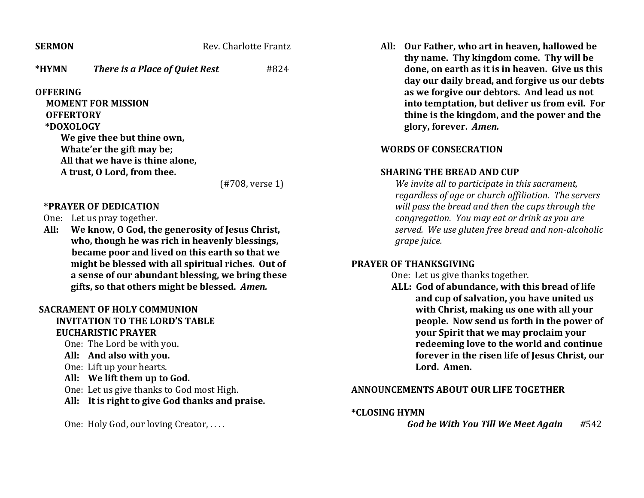| <b>SERMON</b>   |                                | Rev. Charlotte Frantz |  |
|-----------------|--------------------------------|-----------------------|--|
| *HYMN           | There is a Place of Quiet Rest | #824                  |  |
| <b>OFFERING</b> | <b>MOMENT FOR MISSION</b>      |                       |  |
| OFFERTORY       |                                |                       |  |

**Whate'er the gift may be; All that we have is thine alone, A trust, O Lord, from thee.**

**We give thee but thine own,** 

(#708, verse 1)

#### **\*PRAYER OF DEDICATION**

**\*DOXOLOGY**

One: Let us pray together.

 **All: We know, O God, the generosity of Jesus Christ, who, though he was rich in heavenly blessings, became poor and lived on this earth so that we might be blessed with all spiritual riches. Out of a sense of our abundant blessing, we bring these gifts, so that others might be blessed.** *Amen.*

### **SACRAMENT OF HOLY COMMUNION INVITATION TO THE LORD'S TABLE EUCHARISTIC PRAYER**

- One: The Lord be with you.
- **All: And also with you.**
- One: Lift up your hearts.
- **All: We lift them up to God.**
- One: Let us give thanks to God most High.
- **All: It is right to give God thanks and praise.**

One: Holy God, our loving Creator, ....

**All: Our Father, who art in heaven, hallowed be thy name. Thy kingdom come. Thy will be done, on earth as it is in heaven. Give us this day our daily bread, and forgive us our debts as we forgive our debtors. And lead us not into temptation, but deliver us from evil. For thine is the kingdom, and the power and the glory, forever.** *Amen.*

## **WORDS OF CONSECRATION**

#### **SHARING THE BREAD AND CUP**

*We invite all to participate in this sacrament, regardless of age or church affiliation. The servers will pass the bread and then the cups through the congregation. You may eat or drink as you are served. We use gluten free bread and non-alcoholic grape juice.* 

#### **PRAYER OF THANKSGIVING**

One: Let us give thanks together.

**ALL: God of abundance, with this bread of life and cup of salvation, you have united us with Christ, making us one with all your people. Now send us forth in the power of your Spirit that we may proclaim your redeeming love to the world and continue forever in the risen life of Jesus Christ, our Lord. Amen.**

#### **ANNOUNCEMENTS ABOUT OUR LIFE TOGETHER**

#### **\*CLOSING HYMN**

 *God be With You Till We Meet Again #*542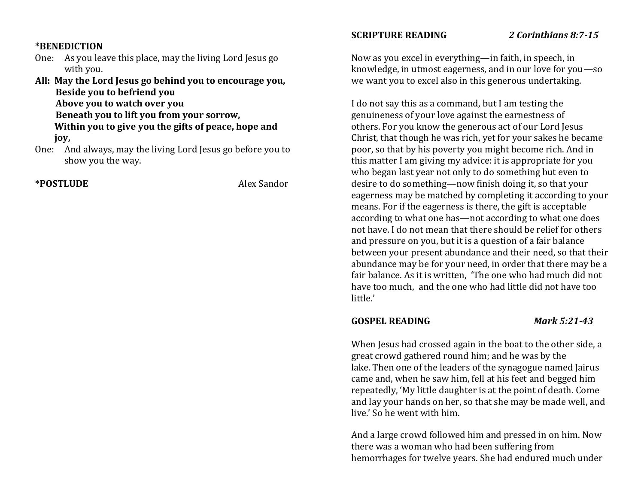### **\*BENEDICTION**

- One: As you leave this place, may the living Lord Jesus go with you.
- **All: May the Lord Jesus go behind you to encourage you, Beside you to befriend you Above you to watch over you Beneath you to lift you from your sorrow, Within you to give you the gifts of peace, hope and joy,**
- One: And always, may the living Lord Jesus go before you to show you the way.

#### **\*POSTLUDE** Alex Sandor

**SCRIPTURE READING** *2 Corinthians 8:7-15*

Now as you excel in everything—in faith, in speech, in knowledge, in utmost eagerness, and in our love for you—so we want you to excel also in this generous undertaking.

I do not say this as a command, but I am testing the genuineness of your love against the earnestness of others. For you know the generous act of our Lord Jesus Christ, that though he was rich, yet for your sakes he became poor, so that by his poverty you might become rich. And in this matter I am giving my advice: it is appropriate for you who began last year not only to do something but even to desire to do something—now finish doing it, so that your eagerness may be matched by completing it according to your means. For if the eagerness is there, the gift is acceptable according to what one has—not according to what one does not have. I do not mean that there should be relief for others and pressure on you, but it is a question of a fair balance between your present abundance and their need, so that their abundance may be for your need, in order that there may be a fair balance. As it is written, 'The one who had much did not have too much, and the one who had little did not have too little.'

## **GOSPEL READING** *Mark 5:21-43*

When Jesus had crossed again in the boat to the other side, a great crowd gathered round him; and he was by the lake. Then one of the leaders of the synagogue named Jairus came and, when he saw him, fell at his feet and begged him repeatedly, 'My little daughter is at the point of death. Come and lay your hands on her, so that she may be made well, and live.' So he went with him.

And a large crowd followed him and pressed in on him. Now there was a woman who had been suffering from hemorrhages for twelve years. She had endured much under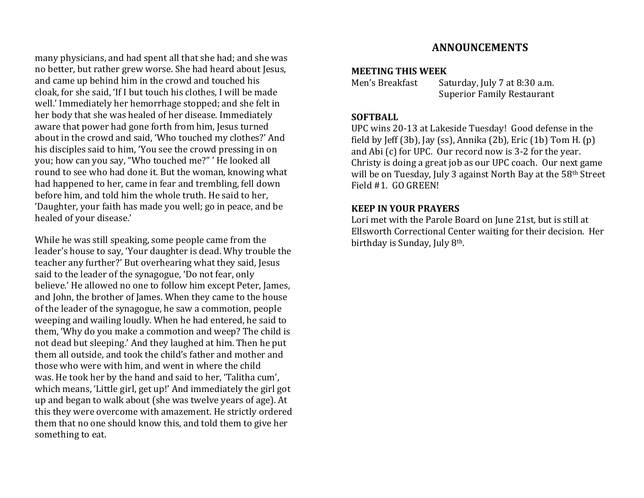# **ANNOUNCEMENTS**

many physicians, and had spent all that she had; and she was no better, but rather grew worse. She had heard about Jesus, and came up behind him in the crowd and touched his cloak, for she said, 'If I but touch his clothes, I will be made well.' Immediately her hemorrhage stopped; and she felt in her body that she was healed of her disease. Immediately aware that power had gone forth from him, Jesus turned about in the crowd and said, 'Who touched my clothes?' And his disciples said to him, 'You see the crowd pressing in on you; how can you say, "Who touched me?" ' He looked all round to see who had done it. But the woman, knowing what had happened to her, came in fear and trembling, fell down before him, and told him the whole truth. He said to her, 'Daughter, your faith has made you well; go in peace, and be healed of your disease.'

While he was still speaking, some people came from the leader's house to say, 'Your daughter is dead. Why trouble the teacher any further?' But overhearing what they said, Jesus said to the leader of the synagogue, 'Do not fear, only believe.' He allowed no one to follow him except Peter, James, and John, the brother of James. When they came to the house of the leader of the synagogue, he saw a commotion, people weeping and wailing loudly. When he had entered, he said to them, 'Why do you make a commotion and weep? The child is not dead but sleeping.' And they laughed at him. Then he put them all outside, and took the child's father and mother and those who were with him, and went in where the child was. He took her by the hand and said to her, 'Talitha cum', which means, 'Little girl, get up!' And immediately the girl got up and began to walk about (she was twelve years of age). At this they were overcome with amazement. He strictly ordered them that no one should know this, and told them to give her something to eat.

#### **MEETING THIS WEEK**

Men's Breakfast Saturday, July 7 at 8:30 a.m. Superior Family Restaurant

## **SOFTBALL**

UPC wins 20-13 at Lakeside Tuesday! Good defense in the field by Jeff (3b), Jay (ss), Annika (2b), Eric (1b) Tom H. (p) and Abi (c) for UPC. Our record now is 3-2 for the year. Christy is doing a great job as our UPC coach. Our next game will be on Tuesday, July 3 against North Bay at the 58th Street Field #1. GO GREEN!

## **KEEP IN YOUR PRAYERS**

Lori met with the Parole Board on June 21st, but is still at Ellsworth Correctional Center waiting for their decision. Her birthday is Sunday, July 8th.